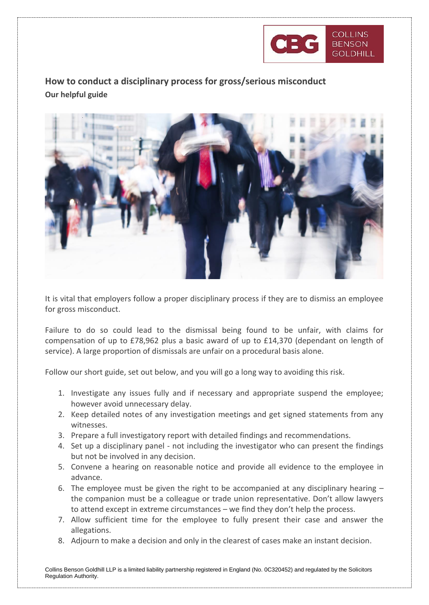

## **How to conduct a disciplinary process for gross/serious misconduct Our helpful guide**



It is vital that employers follow a proper disciplinary process if they are to dismiss an employee for gross misconduct.

Failure to do so could lead to the dismissal being found to be unfair, with claims for compensation of up to £78,962 plus a basic award of up to £14,370 (dependant on length of service). A large proportion of dismissals are unfair on a procedural basis alone.

Follow our short guide, set out below, and you will go a long way to avoiding this risk.

- 1. Investigate any issues fully and if necessary and appropriate suspend the employee; however avoid unnecessary delay.
- 2. Keep detailed notes of any investigation meetings and get signed statements from any witnesses.
- 3. Prepare a full investigatory report with detailed findings and recommendations.
- 4. Set up a disciplinary panel not including the investigator who can present the findings but not be involved in any decision.
- 5. Convene a hearing on reasonable notice and provide all evidence to the employee in advance.
- 6. The employee must be given the right to be accompanied at any disciplinary hearing the companion must be a colleague or trade union representative. Don't allow lawyers to attend except in extreme circumstances – we find they don't help the process.
- 7. Allow sufficient time for the employee to fully present their case and answer the allegations.
- 8. Adjourn to make a decision and only in the clearest of cases make an instant decision.